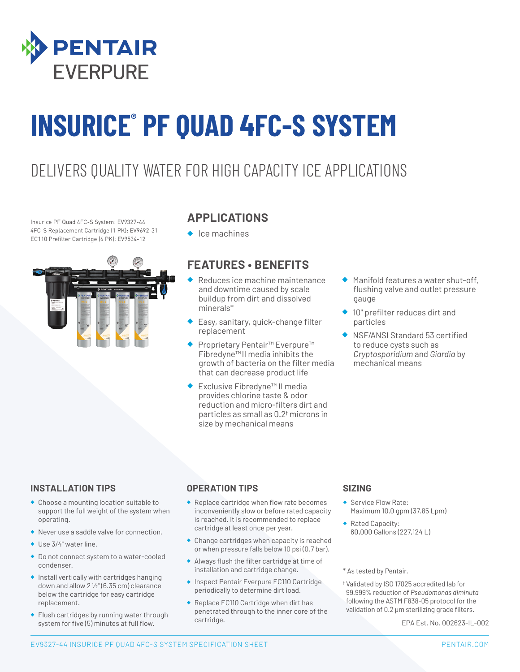

# **INSURICE® PF QUAD 4FC-S SYSTEM**

### DELIVERS QUALITY WATER FOR HIGH CAPACITY ICE APPLICATIONS

Insurice PF Quad 4FC-S System: EV9327-44 4FC-S Replacement Cartridge (1 PK): EV9692-31 EC110 Prefilter Cartridge (6 PK): EV9534-12



#### **APPLICATIONS**

◆ Ice machines

#### **FEATURES • BENEFITS**

- Reduces ice machine maintenance and downtime caused by scale buildup from dirt and dissolved minerals\*
- ◆ Easy, sanitary, quick-change filter replacement
- ◆ Proprietary Pentair<sup>™</sup> Everpure<sup>™</sup> Fibredyne™II media inhibits the growth of bacteria on the filter media that can decrease product life
- Exclusive Fibredyne™ II media provides chlorine taste & odor reduction and micro-filters dirt and particles as small as 0.2† microns in size by mechanical means
- Manifold features a water shut-off, flushing valve and outlet pressure gauge
- 10" prefilter reduces dirt and particles
- ◆ NSF/ANSI Standard 53 certified to reduce cysts such as *Cryptosporidium* and *Giardia* by mechanical means

#### **INSTALLATION TIPS**

- ◆ Choose a mounting location suitable to support the full weight of the system when operating.
- ◆ Never use a saddle valve for connection.
- ◆ Use 3/4" water line.
- ◆ Do not connect system to a water-cooled condenser.
- ◆ Install vertically with cartridges hanging down and allow  $2\frac{1}{2}$ " (6.35 cm) clearance below the cartridge for easy cartridge replacement.
- ◆ Flush cartridges by running water through system for five (5) minutes at full flow.

#### **OPERATION TIPS**

- ◆ Replace cartridge when flow rate becomes inconveniently slow or before rated capacity is reached. It is recommended to replace cartridge at least once per year.
- ◆ Change cartridges when capacity is reached or when pressure falls below 10 psi (0.7 bar).
- ◆ Always flush the filter cartridge at time of installation and cartridge change.
- ◆ Inspect Pentair Everpure EC110 Cartridge periodically to determine dirt load.
- ◆ Replace EC110 Cartridge when dirt has penetrated through to the inner core of the cartridge.

#### **SIZING**

- Service Flow Rate: Maximum 10.0 gpm (37.85 Lpm)
- ◆ Rated Capacity: 60,000 Gallons (227,124 L)

\* As tested by Pentair.

† Validated by ISO 17025 accredited lab for 99.999% reduction of *Pseudomonas diminuta* following the ASTM F838-05 protocol for the validation of 0.2 μm sterilizing grade filters.

EPA Est. No. 002623-IL-002